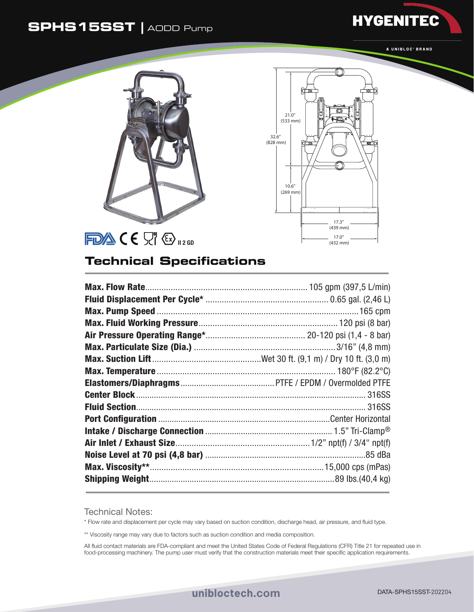## **SPHS15SST |** AODD Pump



**HYGENITEC** 





## **Technical Specifications**

Technical Notes:

\* Flow rate and displacement per cycle may vary based on suction condition, discharge head, air pressure, and fluid type.

\*\* Viscosity range may vary due to factors such as suction condition and media composition.

All fluid contact materials are FDA-compliant and meet the United States Code of Federal Regulations (CFR) Title 21 for repeated use in food-processing machinery. The pump user must verify that the construction materials meet their specific application requirements.